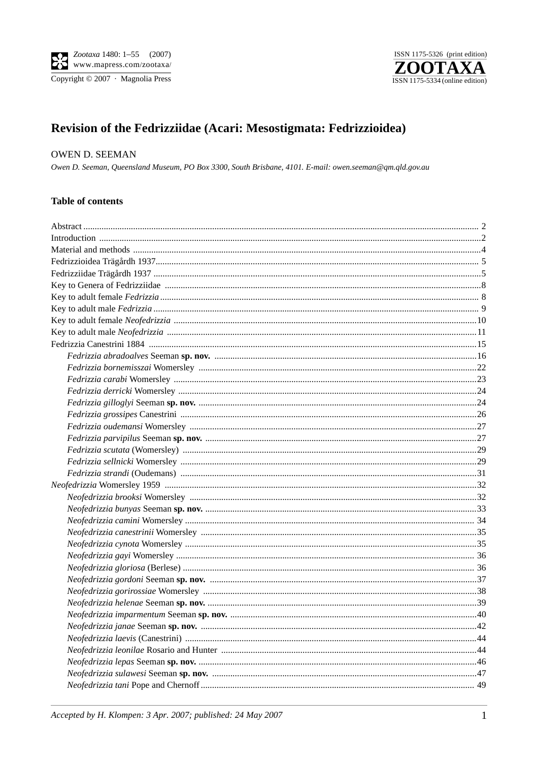

ISSN 1175-5326 (print edition)  $\mathbf Z$ ) I A M ISSN 1175-5334 (online edition)

# Revision of the Fedrizziidae (Acari: Mesostigmata: Fedrizzioidea)

# **OWEN D. SEEMAN**

Owen D. Seeman, Queensland Museum, PO Box 3300, South Brisbane, 4101. E-mail: owen.seeman@qm.qld.gov.au

#### **Table of contents**